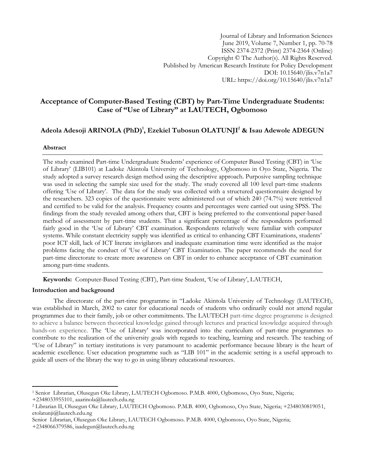Journal of Library and Information Sciences June 2019, Volume 7, Number 1, pp. 70-78 ISSN 2374-2372 (Print) 2374-2364 (Online) Copyright © The Author(s). All Rights Reserved. Published by American Research Institute for Policy Development DOI: 10.15640/jlis.v7n1a7 URL: https://doi.org/10.15640/jlis.v7n1a7

# **Acceptance of Computer-Based Testing (CBT) by Part-Time Undergraduate Students: Case of "Use of Library" at LAUTECH, Ogbomoso**

# **Adeola Adesoji ARINOLA (PhD)<sup>1</sup> , Ezekiel Tubosun OLATUNJI<sup>2</sup> & Isau Adewole ADEGUN**

### **Abstract**

The study examined Part-time Undergraduate Students" experience of Computer Based Testing (CBT) in "Use of Library" (LIB101) at Ladoke Akintola University of Technology, Ogbomoso in Oyo State, Nigeria. The study adopted a survey research design method using the descriptive approach. Purposive sampling technique was used in selecting the sample size used for the study. The study covered all 100 level part-time students offering "Use of Library". The data for the study was collected with a structured questionnaire designed by the researchers. 323 copies of the questionnaire were administered out of which 240 (74.7%) were retrieved and certified to be valid for the analysis. Frequency counts and percentages were carried out using SPSS. The findings from the study revealed among others that, CBT is being preferred to the conventional paper-based method of assessment by part-time students. That a significant percentage of the respondents performed fairly good in the "Use of Library" CBT examination. Respondents relatively were familiar with computer systems. While constant electricity supply was identified as critical to enhancing CBT Examinations, students' poor ICT skill, lack of ICT literate invigilators and inadequate examination time were identified as the major problems facing the conduct of "Use of Library" CBT Examination. The paper recommends the need for part-time directorate to create more awareness on CBT in order to enhance acceptance of CBT examination among part-time students.

**Keywords:** Computer-Based Testing (CBT), Part-time Student, "Use of Library", LAUTECH,

### **Introduction and background**

The directorate of the part-time programme in "Ladoke Akintola University of Technology (LAUTECH), was established in March, 2002 to cater for educational needs of students who ordinarily could not attend regular programmes due to their family, job or other commitments. The LAUTECH part-time degree programme is designed to achieve a balance between theoretical knowledge gained through lectures and practical knowledge acquired through hands-on experience. The 'Use of Library' was incorporated into the curriculum of part-time programmes to contribute to the realization of the university goals with regards to teaching, learning and research. The teaching of "Use of Library" in tertiary institutions is very paramount to academic performance because library is the heart of academic excellence. User education programme such as "LIB 101" in the academic setting is a useful approach to guide all users of the library the way to go in using library educational resources.

 $\overline{\phantom{a}}$ 

<sup>1</sup> Senior Librarian, Olusegun Oke Library, LAUTECH Ogbomoso. P.M.B. 4000, Ogbomoso, Oyo State, Nigeria;

<sup>+2348033955101,</sup> aaarinola@lautech.edu.ng

<sup>2</sup> Librarian II, Olusegun Oke Library, LAUTECH Ogbomoso. P.M.B. 4000, Ogbomoso, Oyo State, Nigeria; +2348030819051, [etolatunji@lautech.edu.ng](mailto:etolatunji@lautech.edu.ng)

Senior Librarian, Olusegun Oke Library, LAUTECH Ogbomoso. P.M.B. 4000, Ogbomoso, Oyo State, Nigeria;

<sup>+2348066379586,</sup> iaadegun@lautech.edu.ng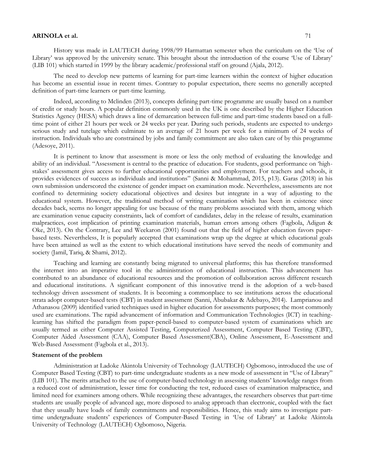History was made in LAUTECH during 1998/99 Harmattan semester when the curriculum on the "Use of Library" was approved by the university senate. This brought about the introduction of the course "Use of Library" (LIB 101) which started in 1999 by the library academic/professional staff on ground (Ajala, 2012).

The need to develop new patterns of learning for part-time learners within the context of higher education has become an essential issue in recent times. Contrary to popular expectation, there seems no generally accepted definition of part-time learners or part-time learning.

Indeed, according to Mclinden (2013), concepts defining part-time programme are usually based on a number of credit or study hours. A popular definition commonly used in the UK is one described by the Higher Education Statistics Agency (HESA) which draws a line of demarcation between full-time and part-time students based on a fulltime point of either 21 hours per week or 24 weeks per year. During such periods, students are expected to undergo serious study and tutelage which culminate to an average of 21 hours per week for a minimum of 24 weeks of instruction. Individuals who are constrained by jobs and family commitment are also taken care of by this programme (Adesoye, 2011).

It is pertinent to know that assessment is more or less the only method of evaluating the knowledge and ability of an individual. "Assessment is central to the practice of education. For students, good performance on "highstakes" assessment gives access to further educational opportunities and employment. For teachers and schools, it provides evidences of success as individuals and institutions" (Sanni & Mohammad, 2015, p13). Garas (2018) in his own submission underscored the existence of gender impact on examination mode. Nevertheless, assessments are not confined to determining society educational objectives and desires but integrate in a way of adjusting to the educational system. However, the traditional method of writing examination which has been in existence since decades back, seems no longer appealing for use because of the many problems associated with them, among which are examination venue capacity constraints, lack of comfort of candidates, delay in the release of results, examination malpractices, cost implication of printing examination materials, human errors among others (Fagbola, Adigun & Oke, 2013). On the Contrary, Lee and Weekaron (2001) found out that the field of higher education favors paperbased tests. Nevertheless, It is popularly accepted that examinations wrap up the degree at which educational goals have been attained as well as the extent to which educational institutions have served the needs of community and society (Jamil, Tariq, & Shami, 2012).

Teaching and learning are constantly being migrated to universal platforms; this has therefore transformed the internet into an imperative tool in the administration of educational instruction. This advancement has contributed to an abundance of educational resources and the promotion of collaboration across different research and educational institutions. A significant component of this innovative trend is the adoption of a web-based technology driven assessment of students. It is becoming a commonplace to see institutions across the educational strata adopt computer-based tests (CBT) in student assessment (Sanni, Abubakar & Adebayo, 2014). Lamprianou and Athanasou (2009) identified varied techniques used in higher education for assessments purposes; the most commonly used are examinations. The rapid advancement of information and Communication Technologies (ICT) in teachinglearning has shifted the paradigm from paper-pencil-based to computer-based system of examinations which are usually termed as either Computer Assisted Testing, Computerized Assessment, Computer Based Testing (CBT), Computer Aided Assessment (CAA), Computer Based Assessment(CBA), Online Assessment, E-Assessment and Web-Based Assessment (Fagbola et al., 2013).

## **Statement of the problem**

Administration at Ladoke Akintola University of Technology (LAUTECH) Ogbomoso, introduced the use of Computer Based Testing (CBT) to part-time undergraduate students as a new mode of assessment in "Use of Library" (LIB 101). The merits attached to the use of computer-based technology in assessing students" knowledge ranges from a reduced cost of administration, lesser time for conducting the test, reduced cases of examination malpractice, and limited need for examiners among others. While recognizing these advantages, the researchers observes that part-time students are usually people of advanced age, more disposed to analog approach than electronic, coupled with the fact that they usually have loads of family commitments and responsibilities. Hence, this study aims to investigate parttime undergraduate students" experiences of Computer-Based Testing in "Use of Library" at Ladoke Akintola University of Technology (LAUTECH) Ogbomoso, Nigeria.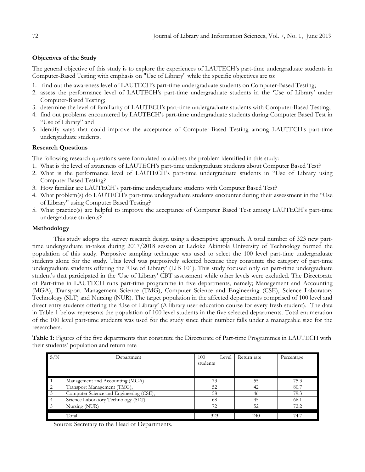# **Objectives of the Study**

The general objective of this study is to explore the experiences of LAUTECH"s part-time undergraduate students in Computer-Based Testing with emphasis on "Use of Library" while the specific objectives are to:

- 1. find out the awareness level of LAUTECH"s part-time undergraduate students on Computer-Based Testing;
- 2. assess the performance level of LAUTECH"s part-time undergraduate students in the "Use of Library" under Computer-Based Testing;
- 3. determine the level of familiarity of LAUTECH's part-time undergraduate students with Computer-Based Testing;
- 4. find out problems encountered by LAUTECH"s part-time undergraduate students during Computer Based Test in "Use of Library" and
- 5. identify ways that could improve the acceptance of Computer-Based Testing among LAUTECH's part-time undergraduate students.

## **Research Questions**

The following research questions were formulated to address the problem identified in this study:

- 1. What is the level of awareness of LAUTECH"s part-time undergraduate students about Computer Based Test?
- 2. What is the performance level of LAUTECH"s part-time undergraduate students in "Use of Library using Computer Based Testing?
- 3. How familiar are LAUTECH"s part-time undergraduate students with Computer Based Test?
- 4. What problem(s) do LAUTECH"s part-time undergraduate students encounter during their assessment in the "Use of Library" using Computer Based Testing?
- 5. What practice(s) are helpful to improve the acceptance of Computer Based Test among LAUTECH"s part-time undergraduate students?

## **Methodology**

This study adopts the survey research design using a descriptive approach. A total number of 323 new parttime undergraduate in-takes during 2017/2018 session at Ladoke Akintola University of Technology formed the population of this study. Purposive sampling technique was used to select the 100 level part-time undergraduate students alone for the study. This level was purposively selected because they constitute the category of part-time undergraduate students offering the "Use of Library" (LIB 101). This study focused only on part-time undergraduate student"s that participated in the "Use of Library" CBT assessment while other levels were excluded. The Directorate of Part-time in LAUTECH runs part-time programme in five departments, namely; Management and Accounting (MGA), Transport Management Science (TMG), Computer Science and Engineering (CSE), Science Laboratory Technology (SLT) and Nursing (NUR). The target population in the affected departments comprised of 100 level and direct entry students offering the 'Use of Library' (A library user education course for every fresh student). The data in Table 1 below represents the population of 100 level students in the five selected departments. Total enumeration of the 100 level part-time students was used for the study since their number falls under a manageable size for the researchers.

| Table 1: Figures of the five departments that constitute the Directorate of Part-time Programmes in LAUTECH with |  |  |
|------------------------------------------------------------------------------------------------------------------|--|--|
| their students' population and return rate                                                                       |  |  |

| S/N            | Department                              | 100<br>Level | Return rate | Percentage |
|----------------|-----------------------------------------|--------------|-------------|------------|
|                |                                         | students     |             |            |
|                |                                         |              |             |            |
|                | Management and Accounting (MGA)         | 73           | 55          | 75.3       |
| $\overline{2}$ | Transport Management (TMG),             | 52           | 42          | 80.7       |
| $\overline{3}$ | Computer Science and Engineering (CSE), | 58           | 46          | 79.3       |
| $\vert 4$      | Science Laboratory Technology (SLT)     | 68           | 45          | 66.1       |
| $5^{\circ}$    | Nursing (NUR)                           | 72           | 52          | 72.2       |
|                | Total                                   | 323          | 240         | 74.7       |

Source: Secretary to the Head of Departments.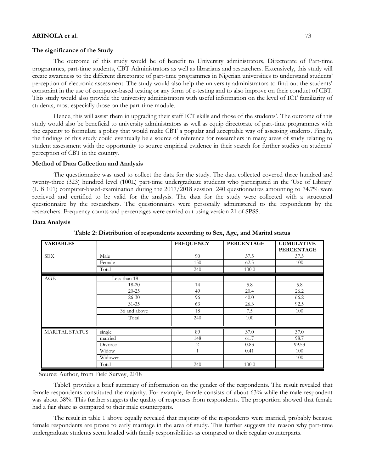#### **The significance of the Study**

The outcome of this study would be of benefit to University administrators, Directorate of Part-time programmes, part-time students, CBT Administrators as well as librarians and researchers. Extensively, this study will create awareness to the different directorate of part-time programmes in Nigerian universities to understand students" perception of electronic assessment. The study would also help the university administrators to find out the students" constraint in the use of computer-based testing or any form of e-testing and to also improve on their conduct of CBT. This study would also provide the university administrators with useful information on the level of ICT familiarity of students, most especially those on the part-time module.

Hence, this will assist them in upgrading their staff ICT skills and those of the students". The outcome of this study would also be beneficial to university administrators as well as equip directorate of part-time programmes with the capacity to formulate a policy that would make CBT a popular and acceptable way of assessing students. Finally, the findings of this study could eventually be a source of reference for researchers in many areas of study relating to student assessment with the opportunity to source empirical evidence in their search for further studies on students" perception of CBT in the country.

#### **Method of Data Collection and Analysis**

The questionnaire was used to collect the data for the study. The data collected covered three hundred and twenty-three (323) hundred level (100L) part-time undergraduate students who participated in the "Use of Library" (LIB 101) computer-based-examination during the 2017/2018 session. 240 questionnaires amounting to 74.7% were retrieved and certified to be valid for the analysis. The data for the study were collected with a structured questionnaire by the researchers. The questionnaires were personally administered to the respondents by the researchers. Frequency counts and percentages were carried out using version 21 of SPSS.

#### **Data Analysis**

| <b>VARIABLES</b>      |              | <b>FREQUENCY</b>         | <b>PERCENTAGE</b>        | <b>CUMULATIVE</b><br><b>PERCENTAGE</b> |
|-----------------------|--------------|--------------------------|--------------------------|----------------------------------------|
| <b>SEX</b>            | Male         | 90                       | 37.5                     | 37.5                                   |
|                       | Female       | 150                      | 62.5                     | 100                                    |
|                       | Total        | 240                      | 100.0                    |                                        |
| AGE                   | Less than 18 | $\overline{\phantom{0}}$ | $\overline{a}$           | -                                      |
|                       | 18-20        | 14                       | 5.8                      | 5.8                                    |
|                       | $20 - 25$    | 49                       | 20.4                     | 26.2                                   |
|                       | $26 - 30$    | 96                       | 40.0                     | 66.2                                   |
|                       | $31 - 35$    | 63                       | 26.3                     | 92.5                                   |
|                       | 36 and above | 18                       | 7.5                      | 100                                    |
|                       | Total        | 240                      | 100                      |                                        |
| <b>MARITAL STATUS</b> | single       | 89                       | 37.0                     | 37.0                                   |
|                       | married      | 148                      | 61.7                     | 98.7                                   |
|                       | Divorce      | 2                        | 0.83                     | 99.53                                  |
|                       | Widow        | $\mathbf{1}$             | 0.41                     | 100                                    |
|                       | Widower      | $\overline{\phantom{0}}$ | $\overline{\phantom{a}}$ | 100                                    |
|                       | Total        | 240                      | 100.0                    |                                        |

**Table 2: Distribution of respondents according to Sex, Age, and Marital status**

Source: Author, from Field Survey, 2018

Table1 provides a brief summary of information on the gender of the respondents. The result revealed that female respondents constituted the majority. For example, female consists of about 63% while the male respondent was about 38%. This further suggests the quality of responses from respondents. The proportion showed that female had a fair share as compared to their male counterparts.

The result in table 1 above equally revealed that majority of the respondents were married, probably because female respondents are prone to early marriage in the area of study. This further suggests the reason why part-time undergraduate students seem loaded with family responsibilities as compared to their regular counterparts.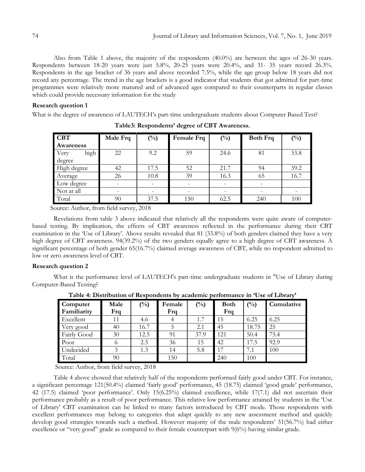Also from Table 1 above, the majority of the respondents (40.0%) are between the ages of 26-30 years. Respondents between 18-20 years were just 5.8%, 20-25 years were 20.4%, and 31- 35 years record 26.3%. Respondents in the age bracket of 36 years and above recorded 7.5%, while the age group below 18 years did not record any percentage. The trend in the age brackets is a good indicator that students that got admitted for part-time programmes were relatively more matured and of advanced ages compared to their counterparts in regular classes which could provide necessary information for the study

### **Research question 1**

What is the degree of awareness of LAUTECH"s part-time undergraduate students about Computer Based Test?

| <b>CBT</b>   | Male Frq | $\binom{0}{0}$ | $(\%)$<br><b>Female Frq</b> |      | <b>Both Frq</b> | $(\%)$ |
|--------------|----------|----------------|-----------------------------|------|-----------------|--------|
| Awareness    |          |                |                             |      |                 |        |
| high<br>Very | 22       | 9.2            | 59                          | 24.6 | 81              | 33.8   |
| degree       |          |                |                             |      |                 |        |
| High degree  | 42       | 17.5           | 52                          | 21.7 | 94              | 39.2   |
| Average      | 26       | 10.8           | 39                          | 16.3 | 65              | 16.7   |
| Low degree   |          |                |                             |      |                 |        |
| Not at all   |          |                |                             |      |                 |        |
| Total        | 90       | 37.5           | 150                         | 62.5 | 240             | 100    |

**Table3: Respondents" degree of CBT Awareness.**

Source: Author, from field survey, 2018

Revelations from table 3 above indicated that relatively all the respondents were quite aware of computerbased testing. By implication, the effects of CBT awareness reflected in the performance during their CBT examination in the 'Use of Library'. Above results revealed that 81 (33.8%) of both genders claimed they have a very high degree of CBT awareness. 94(39.2%) of the two genders equally agree to a high degree of CBT awareness. A significant percentage of both gender 65(16.7%) claimed average awareness of CBT, while no respondent admitted to low or zero awareness level of CBT.

### **Research question 2**

What is the performance level of LAUTECH's part-time undergraduate students in "Use of Library during Computer-Based Testing?

| Computer    | Male | $\binom{0}{0}$ | Female | $(^{0}/_{0})$ | <b>Both</b> | $(^{0}_{0})$ | Cumulative |
|-------------|------|----------------|--------|---------------|-------------|--------------|------------|
| Familiarity | Frq  |                | Frq    |               | Frq         |              |            |
| Excellent   | 11   | 4.6            |        | 1.7           | 15          | 6.25         | 6.25       |
| Very good   | 40   | 16.7           |        | 2.1           | 45          | 18.75        | 25         |
| Fairly Good | 30   | 12.5           | 91     | 37.9          | 121         | 50.4         | 75.4       |
| Poor        |      | 2.5            | 36     | 15            | 42          | 17.5         | 92.9       |
| Undecided   |      | 1.3            | 14     | 5.8           | 17          | 7.1          | 100        |
| Total       | 90   |                | 150    |               | 240         | 100          |            |

**Table 4: Distribution of Respondents by academic performance in "Use of Library"**

Source: Author, from field survey, 2018

Table 4 above showed that relatively half of the respondents performed fairly good under CBT. For instance, a significant percentage 121(50.4%) claimed "fairly good" performance, 45 (18.75) claimed "good grade" performance, 42 (17.5) claimed 'poor performance'. Only 15(6.25%) claimed excellence, while 17(7.1) did not ascertain their performance probably as a result of poor performance. This relative low performance attained by students in the "Use of Library" CBT examination can be linked to many factors introduced by CBT mode. Those respondents with excellent performances may belong to categories that adapt quickly to any new assessment method and quickly develop good strategies towards such a method. However majority of the male respondents' 51(56.7%) had either excellence or "very good" grade as compared to their female counterpart with 9(6%) having similar grade.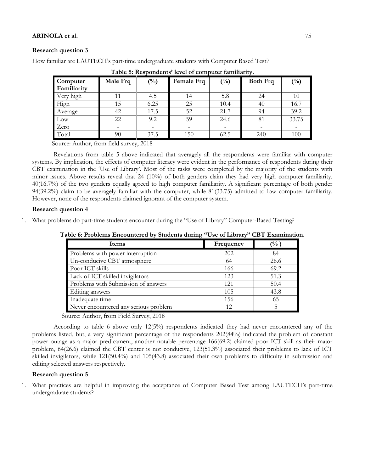### **Research question 3**

How familiar are LAUTECH"s part-time undergraduate students with Computer Based Test?

| Computer<br>Familiarity | Male Frq | $\binom{0}{0}$ | Female Frq | $\binom{0}{0}$ | <b>Both Frq</b> | $(^{0}_{0})$ |
|-------------------------|----------|----------------|------------|----------------|-----------------|--------------|
| Very high               | 11       | 4.5            | 14         | 5.8            | 24              | 10           |
| High                    | 15       | 6.25           | 25         | 10.4           | 40              | 16.7         |
| Average                 | 42       | 17.5           | 52         | 21.7           | 94              | 39.2         |
| Low                     | 22       | 9.2            | 59         | 24.6           | 81              | 33.75        |
| Zero                    |          |                |            |                |                 |              |
| Total                   | 90       | 37.5           | 150        | 62.5           | 240             | 100          |

**Table 5: Respondents" level of computer familiarity.**

Source: Author, from field survey, 2018

Revelations from table 5 above indicated that averagely all the respondents were familiar with computer systems. By implication, the effects of computer literacy were evident in the performance of respondents during their CBT examination in the "Use of Library". Most of the tasks were completed by the majority of the students with minor issues. Above results reveal that 24 (10%) of both genders claim they had very high computer familiarity. 40(16.7%) of the two genders equally agreed to high computer familiarity. A significant percentage of both gender 94(39.2%) claim to be averagely familiar with the computer, while 81(33.75) admitted to low computer familiarity. However, none of the respondents claimed ignorant of the computer system.

### **Research question 4**

1. What problems do part-time students encounter during the "Use of Library" Computer-Based Testing?

| Items                                 | Frequency | $\frac{1}{2}$ |
|---------------------------------------|-----------|---------------|
| Problems with power interruption      | 202       | 84            |
| Un-conducive CBT atmosphere           | 64        | 26.6          |
| Poor ICT skills                       | 166       | 69.2          |
| Lack of ICT skilled invigilators      | 123       | 51.3          |
| Problems with Submission of answers   | 121       | 50.4          |
| Editing answers                       | 105       | 43.8          |
| Inadequate time                       | 156       | 65            |
| Never encountered any serious problem | 12        |               |

**Table 6: Problems Encountered by Students during "Use of Library" CBT Examination.**

Source: Author, from Field Survey, 2018

According to table 6 above only 12(5%) respondents indicated they had never encountered any of the problems listed, but, a very significant percentage of the respondents 202(84%) indicated the problem of constant power outage as a major predicament, another notable percentage 166(69.2) claimed poor ICT skill as their major problem, 64(26.6) claimed the CBT center is not conducive, 123(51.3%) associated their problems to lack of ICT skilled invigilators, while 121(50.4%) and 105(43.8) associated their own problems to difficulty in submission and editing selected answers respectively.

# **Research question 5**

1. What practices are helpful in improving the acceptance of Computer Based Test among LAUTECH"s part-time undergraduate students?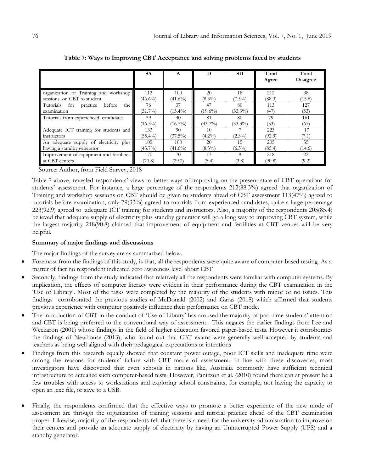|                                           | <b>SA</b>  | A          | D          | <b>SD</b>  | Total<br>Agree | Total<br><b>Disagree</b> |
|-------------------------------------------|------------|------------|------------|------------|----------------|--------------------------|
| organization of Training and workshop     | 112        | 100        | 20         | 18         | 212            | 38                       |
| sessions on CBT to student                | $(46.6\%)$ | $(41.6\%)$ | $(8.3\%)$  | $(7.5\%)$  | (88.3)         | (15.8)                   |
| the I<br>Tutorials for practice<br>before | 76         | 37         | 47         | 80         | 113            | 127                      |
| examination                               | $(31.7\%)$ | $(15.4\%)$ | $(19.6\%)$ | $(33.3\%)$ | (47)           | (53)                     |
| Tutorials from experienced candidates     | 39         | 40         | 81         | 80         | 79             | 161                      |
|                                           | $(16.3\%)$ | $(16.7\%)$ | $(33.7\%)$ | $(33.3\%)$ | (33)           | (67)                     |
| Adequate ICT training for students and    | 133        | 90         | 10         |            | 223            | 17                       |
| instructors                               | $(55.4\%)$ | $(37.5\%)$ | $(4.2\%)$  | $(2.3\%)$  | (92.9)         | (7.1)                    |
| An adequate supply of electricity plus    | 105        | 100        | 20         | 15         | 205            | 35                       |
| having a standby generator                | $(43.7\%)$ | $(41.6\%)$ | $(8.3\%)$  | $(6.3\%)$  | (85.4)         | (14.6)                   |
| Improvement of equipment and fertilities  | 170        | 70         | 13         | $\Omega$   | 218            | 22                       |
| at CBT centers                            | (70.8)     | (29.2)     | (5.4)      | (3.8)      | (90.8)         | (9.2)                    |

**Table 7: Ways to Improving CBT Acceptance and solving problems faced by students**

Source: Author, from Field Survey, 2018

Table 7 above, revealed respondents' views to better ways of improving on the present state of CBT operations for students" assessment. For instance, a large percentage of the respondents 212(88.3%) agreed that organization of Training and workshop sessions on CBT should be given to students ahead of CBT assessment 113(47%) agreed to tutorials before examination, only 79(33%) agreed to tutorials from experienced candidates, quite a large percentage 223(92.9) agreed to adequate ICT training for students and instructors. Also, a majority of the respondents 205(85.4) believed that adequate supply of electricity plus standby generator will go a long way to improving CBT system, while the largest majority 218(90.8) claimed that improvement of equipment and fertilities at CBT venues will be very helpful.

# **Summary of major findings and discussions**

The major findings of the survey are as summarized below.

- Foremost from the findings of this study, is that, all the respondents were quite aware of computer-based testing. As a matter of fact no respondent indicated zero awareness level about CBT
- Secondly, findings from the study indicated that relatively all the respondents were familiar with computer systems. By implication, the effects of computer literacy were evident in their performance during the CBT examination in the "Use of Library". Most of the tasks were completed by the majority of the students with minor or no issues. This findings corroborated the previous studies of McDonald (2002) and Garas (2018) which affirmed that students previous experience with computer positively influence their performance on CBT mode.
- The introduction of CBT in the conduct of 'Use of Library' has aroused the majority of part-time students' attention and CBT is being preferred to the conventional way of assessment. This negates the earlier findings from Lee and Weekaron (2001) whose findings in the field of higher education favored paper-based tests. However it corroborates the findings of Newhouse (2013), who found out that CBT exams were generally well accepted by students and teachers as being well aligned with their pedagogical expectations or intentions
- Findings from this research equally showed that constant power outage, poor ICT skills and inadequate time were among the reasons for students' failure with CBT mode of assessment. In line with these discoveries, most investigators have discovered that even schools in nations like, Australia commonly have sufficient technical infrastructure to actualize such computer-based tests. However, Panizzon et al. (2010) found there can at present be a few troubles with access to workstations and exploring school constraints, for example, not having the capacity to open an .exe file, or save to a USB.
- Finally, the respondents confirmed that the effective ways to promote a better experience of the new mode of assessment are through the organization of training sessions and tutorial practice ahead of the CBT examination proper. Likewise, majority of the respondents felt that there is a need for the university administration to improve on their centers and provide an adequate supply of electricity by having an Uninterrupted Power Supply (UPS) and a standby generator.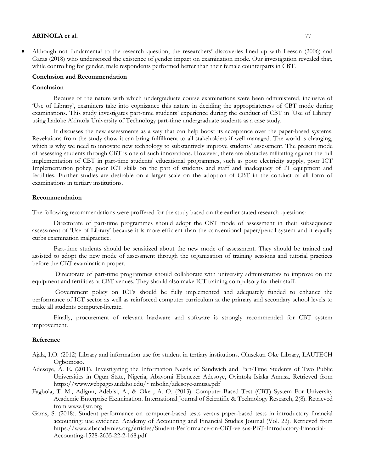Although not fundamental to the research question, the researchers" discoveries lined up with Leeson (2006) and Garas (2018) who underscored the existence of gender impact on examination mode. Our investigation revealed that, while controlling for gender, male respondents performed better than their female counterparts in CBT.

#### **Conclusion and Recommendation**

#### **Conclusion**

Because of the nature with which undergraduate course examinations were been administered, inclusive of "Use of Library", examiners take into cognizance this nature in deciding the appropriateness of CBT mode during examinations. This study investigates part-time students' experience during the conduct of CBT in 'Use of Library' using Ladoke Akintola University of Technology part-time undergraduate students as a case study.

It discusses the new assessments as a way that can help boost its acceptance over the paper-based systems. Revelations from the study show it can bring fulfillment to all stakeholders if well managed. The world is changing, which is why we need to innovate new technology to substantively improve students' assessment. The present mode of assessing students through CBT is one of such innovations. However, there are obstacles militating against the full implementation of CBT in part-time students" educational programmes, such as poor electricity supply, poor ICT Implementation policy, poor ICT skills on the part of students and staff and inadequacy of IT equipment and fertilities. Further studies are desirable on a larger scale on the adoption of CBT in the conduct of all form of examinations in tertiary institutions.

#### **Recommendation**

The following recommendations were proffered for the study based on the earlier stated research questions:

Directorate of part-time programmes should adopt the CBT mode of assessment in their subsequence assessment of "Use of Library" because it is more efficient than the conventional paper/pencil system and it equally curbs examination malpractice.

Part-time students should be sensitized about the new mode of assessment. They should be trained and assisted to adopt the new mode of assessment through the organization of training sessions and tutorial practices before the CBT examination proper.

Directorate of part-time programmes should collaborate with university administrators to improve on the equipment and fertilities at CBT venues. They should also make ICT training compulsory for their staff.

Government policy on ICTs should be fully implemented and adequately funded to enhance the performance of ICT sector as well as reinforced computer curriculum at the primary and secondary school levels to make all students computer-literate.

Finally, procurement of relevant hardware and software is strongly recommended for CBT system improvement.

#### **Reference**

- Ajala, I.O. (2012) Library and information use for student in tertiary institutions. Olusekun Oke Library, LAUTECH Ogbomoso.
- Adesoye, A. E. (2011). Investigating the Information Needs of Sandwich and Part-Time Students of Two Public Universities in Ogun State, Nigeria, Abayomi Ebenezer Adesoye, Oyintola Isiaka Amusa. Retrieved from https://www.webpages.uidaho.edu/~mbolin/adesoye-amusa.pdf
- Fagbola, T. M., Adigun, Adebisi, A., & Oke , A. O. (2013). Computer-Based Test (CBT) System For University Academic Enterprise Examination. International Journal of Scientific & Technology Research, 2(8). Retrieved from www.ijstr.org
- Garas, S. (2018). Student performance on computer-based tests versus paper-based tests in introductory financial accounting: uae evidence. Academy of Accounting and Financial Studies Journal (Vol. 22). Retrieved from https://www.abacademies.org/articles/Student-Performance-on-CBT-versus-PBT-Introductory-Financial-Accounting-1528-2635-22-2-168.pdf